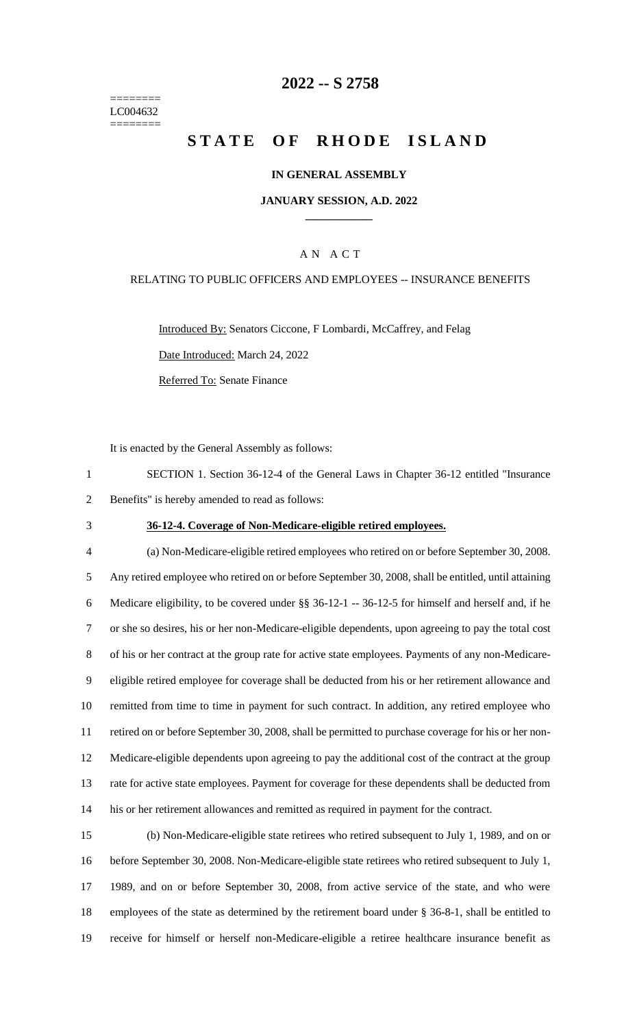======== LC004632 ========

## **-- S 2758**

# **STATE OF RHODE ISLAND**

#### **IN GENERAL ASSEMBLY**

### **JANUARY SESSION, A.D. 2022 \_\_\_\_\_\_\_\_\_\_\_\_**

## A N A C T

## RELATING TO PUBLIC OFFICERS AND EMPLOYEES -- INSURANCE BENEFITS

Introduced By: Senators Ciccone, F Lombardi, McCaffrey, and Felag Date Introduced: March 24, 2022 Referred To: Senate Finance

It is enacted by the General Assembly as follows:

 SECTION 1. Section 36-12-4 of the General Laws in Chapter 36-12 entitled "Insurance Benefits" is hereby amended to read as follows:

#### **36-12-4. Coverage of Non-Medicare-eligible retired employees.**

 (a) Non-Medicare-eligible retired employees who retired on or before September 30, 2008. Any retired employee who retired on or before September 30, 2008, shall be entitled, until attaining Medicare eligibility, to be covered under §§ 36-12-1 -- 36-12-5 for himself and herself and, if he or she so desires, his or her non-Medicare-eligible dependents, upon agreeing to pay the total cost of his or her contract at the group rate for active state employees. Payments of any non-Medicare- eligible retired employee for coverage shall be deducted from his or her retirement allowance and remitted from time to time in payment for such contract. In addition, any retired employee who retired on or before September 30, 2008, shall be permitted to purchase coverage for his or her non- Medicare-eligible dependents upon agreeing to pay the additional cost of the contract at the group rate for active state employees. Payment for coverage for these dependents shall be deducted from his or her retirement allowances and remitted as required in payment for the contract.

 (b) Non-Medicare-eligible state retirees who retired subsequent to July 1, 1989, and on or before September 30, 2008. Non-Medicare-eligible state retirees who retired subsequent to July 1, 1989, and on or before September 30, 2008, from active service of the state, and who were employees of the state as determined by the retirement board under § 36-8-1, shall be entitled to receive for himself or herself non-Medicare-eligible a retiree healthcare insurance benefit as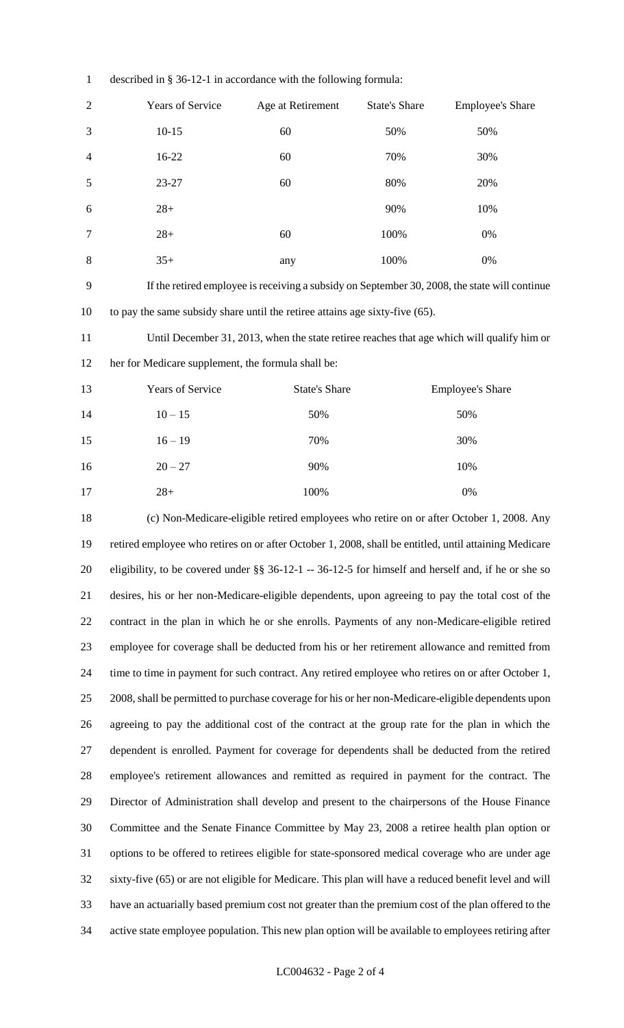| $\overline{c}$ | Years of Service                                                                                       | Age at Retirement    | <b>State's Share</b> | <b>Employee's Share</b> |
|----------------|--------------------------------------------------------------------------------------------------------|----------------------|----------------------|-------------------------|
| 3              | $10 - 15$                                                                                              | 60                   | 50%                  | 50%                     |
| 4              | 16-22                                                                                                  | 60                   | 70%                  | 30%                     |
| 5              | 23-27                                                                                                  | 60                   | 80%                  | 20%                     |
| 6              | $28+$                                                                                                  |                      | 90%                  | 10%                     |
| 7              | $28+$                                                                                                  | 60                   | 100%                 | 0%                      |
| $8\,$          | $35+$                                                                                                  | any                  | 100%                 | $0\%$                   |
| 9              | If the retired employee is receiving a subsidy on September 30, 2008, the state will continue          |                      |                      |                         |
| 10             | to pay the same subsidy share until the retiree attains age sixty-five (65).                           |                      |                      |                         |
| 11             | Until December 31, 2013, when the state retiree reaches that age which will qualify him or             |                      |                      |                         |
| 12             | her for Medicare supplement, the formula shall be:                                                     |                      |                      |                         |
| 13             | Years of Service                                                                                       | <b>State's Share</b> |                      | <b>Employee's Share</b> |
| 14             | $10 - 15$                                                                                              | 50%                  |                      | 50%                     |
| 15             | $16 - 19$                                                                                              | 70%                  |                      | 30%                     |
| 16             | $20 - 27$                                                                                              | 90%                  |                      | 10%                     |
| 17             | $28 +$                                                                                                 | 100%                 |                      | $0\%$                   |
| 18             | (c) Non-Medicare-eligible retired employees who retire on or after October 1, 2008. Any                |                      |                      |                         |
| 19             | retired employee who retires on or after October 1, 2008, shall be entitled, until attaining Medicare  |                      |                      |                         |
| 20             | eligibility, to be covered under $\S$ 36-12-1 -- 36-12-5 for himself and herself and, if he or she so  |                      |                      |                         |
| 21             | desires, his or her non-Medicare-eligible dependents, upon agreeing to pay the total cost of the       |                      |                      |                         |
| 22             | contract in the plan in which he or she enrolls. Payments of any non-Medicare-eligible retired         |                      |                      |                         |
| 23             | employee for coverage shall be deducted from his or her retirement allowance and remitted from         |                      |                      |                         |
| 24             | time to time in payment for such contract. Any retired employee who retires on or after October 1,     |                      |                      |                         |
| 25             | 2008, shall be permitted to purchase coverage for his or her non-Medicare-eligible dependents upon     |                      |                      |                         |
| 26             | agreeing to pay the additional cost of the contract at the group rate for the plan in which the        |                      |                      |                         |
| 27             | dependent is enrolled. Payment for coverage for dependents shall be deducted from the retired          |                      |                      |                         |
| 28             | employee's retirement allowances and remitted as required in payment for the contract. The             |                      |                      |                         |
| 29             | Director of Administration shall develop and present to the chairpersons of the House Finance          |                      |                      |                         |
| 30             | Committee and the Senate Finance Committee by May 23, 2008 a retiree health plan option or             |                      |                      |                         |
| 31             | options to be offered to retirees eligible for state-sponsored medical coverage who are under age      |                      |                      |                         |
| 32             | sixty-five (65) or are not eligible for Medicare. This plan will have a reduced benefit level and will |                      |                      |                         |
| 33             | have an actuarially based premium cost not greater than the premium cost of the plan offered to the    |                      |                      |                         |
| 34             | active state employee population. This new plan option will be available to employees retiring after   |                      |                      |                         |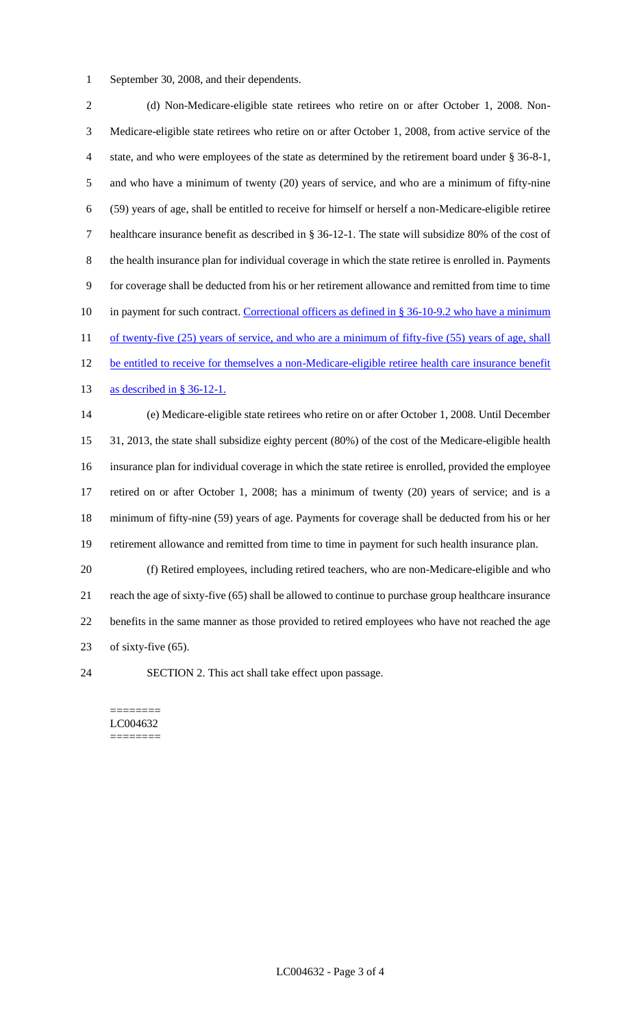September 30, 2008, and their dependents.

2 (d) Non-Medicare-eligible state retirees who retire on or after October 1, 2008. Non- Medicare-eligible state retirees who retire on or after October 1, 2008, from active service of the state, and who were employees of the state as determined by the retirement board under § 36-8-1, and who have a minimum of twenty (20) years of service, and who are a minimum of fifty-nine (59) years of age, shall be entitled to receive for himself or herself a non-Medicare-eligible retiree healthcare insurance benefit as described in § 36-12-1. The state will subsidize 80% of the cost of the health insurance plan for individual coverage in which the state retiree is enrolled in. Payments for coverage shall be deducted from his or her retirement allowance and remitted from time to time 10 in payment for such contract. Correctional officers as defined in § 36-10-9.2 who have a minimum 11 of twenty-five (25) years of service, and who are a minimum of fifty-five (55) years of age, shall 12 be entitled to receive for themselves a non-Medicare-eligible retiree health care insurance benefit as described in § 36-12-1. (e) Medicare-eligible state retirees who retire on or after October 1, 2008. Until December 31, 2013, the state shall subsidize eighty percent (80%) of the cost of the Medicare-eligible health insurance plan for individual coverage in which the state retiree is enrolled, provided the employee retired on or after October 1, 2008; has a minimum of twenty (20) years of service; and is a minimum of fifty-nine (59) years of age. Payments for coverage shall be deducted from his or her retirement allowance and remitted from time to time in payment for such health insurance plan. (f) Retired employees, including retired teachers, who are non-Medicare-eligible and who reach the age of sixty-five (65) shall be allowed to continue to purchase group healthcare insurance benefits in the same manner as those provided to retired employees who have not reached the age of sixty-five (65).

SECTION 2. This act shall take effect upon passage.

======== LC004632 ========